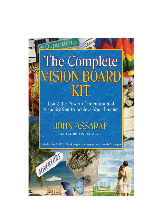# The Complete **VISION BOARD** KIT

Opportunity

rs

Using the Power of Intention and Visualization to Achieve Your Dreams

# **JOHN ASSARAF**

AS FEATURED IN THE SECRET

Includes: book, DVD, blank paper, and inspirational words & images

ADVENTURE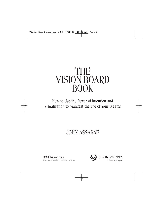## THE VISION BOARD BOOK

How to Use the Power of Intention and Visualization to Manifest the Life of Your Dreams

### JOHN ASSARAF

**ATRIA** BOOKS

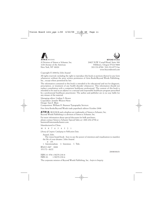



Copyright © 2008 by John Assaraf

All rights reserved, including the right to reproduce this book or portions thereof in any form whatsoever without the prior written permission of Atria Books/Beyond Words Publishing, Inc., except where permitted by law.

The information contained in this book is intended to be educational and not for diagnosis, prescription, or treatment of any health disorder whatsoever. This information should not replace consultation with a competent healthcare professional. The content of this book is intended to be used as an adjunct to a rational and responsible healthcare program prescribed by a professional healthcare practitioner. The author and publisher are in no way liable for any misuse of the material.

Managing editor: Lindsay S. Brown Copyeditor: Jennifer Weaver-Neist Design: Sara E. Blum Composition: William H. Brunson Typography Services

First Atria Books/Beyond Words trade paperback edition October 2008

**ATRIA** BOOKS and colophon are trademarks of Simon & Schuster, Inc. Beyond Words Publishing is a division of Simon & Schuster, Inc.

For more information about special discounts for bulk purchases, please contact Simon & Schuster Special Sales at 1-800-456-6798 or business@simonandschuster.com.

Manufactured in China

10 9 8 7 6 5 4 3 2 1

*Library of Congress Cataloging-in-Publication Data:*

Assaraf, John.

The vision board book : how to use the power of intention and visualization to manifest the life of your dreams / John Assaraf.

p. cm. 1. Intentionalism. 2. Intention. I. Title.

BF619.5.A87 2008 153.3'2—dc22

ISBN-13: 978-1-58270-230-8<br>ISBN-10: 1-58270-230-6 1-58270-230-6

The corporate mission of Beyond Words Publishing, Inc.: *Inspire to Integrity*

2008010631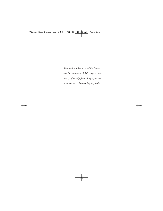*This book is dedicated to all the dreamers who dare to step out of their comfort zones, and go after a life filled with purpose and an abundance of everything they desire.*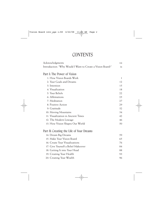### **CONTENTS**

| Acknowledgments                                            | vii          |
|------------------------------------------------------------|--------------|
| Introduction: "Why Would I Want to Create a Vision Board?" | ix           |
| Part I: The Power of Vision                                |              |
| 1: How Vision Boards Work                                  | $\mathbf{1}$ |
| 2: Your Goals and Dreams                                   | 12           |
| 3: Intention                                               | 1.5          |
| 4: Visualization                                           | 18           |
| 5: Your Beliefs                                            | 22           |
| 6: Affirmations                                            | 25           |
| 7: Meditation                                              | 27           |
| 8: Positive Action                                         | 29           |
| 9: Gratitude                                               | 32           |
| 10: Moving Mountains                                       | 34           |
| 11: Visualization in Ancient Times                         | 42           |
| 12: The Modern Lineage                                     | 46           |
| 13: How Vision Shapes Our World                            | 50           |
| Part II: Creating the Life of Your Dreams                  |              |
| 14: Dream Big Dreams                                       | 59           |
| 15: Make Your Vision Board                                 | 65           |
| 16: Create Your Visualizations                             | 76           |
| 17: Give Yourself a Belief Makeover                        | 84           |
| 18: Getting It into Your Head                              | 88           |
| 19: Creating Your Health                                   | 93           |
| 20: Creating Your Wealth                                   | 96           |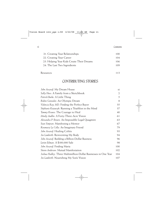| 21. Creating Your Relationships           | 100 |
|-------------------------------------------|-----|
| 22. Creating Your Career                  | 104 |
| 23. Helping Your Kids Create Their Dreams | 106 |
| 24. The Last Two Ingredients              | 109 |
|                                           |     |

#### Resources 113

### CONTRIBUTING STORIES

| John Assaraf: My Dream House                                    | xi  |
|-----------------------------------------------------------------|-----|
| <i>Sally Huss: A Family from a Sketchbook</i>                   | 2   |
| Patrick Burke: A Little Thing                                   | 5   |
| Ruben Gonzalez: An Olympic Dream                                | 8   |
| Valencia Ray, MD: Finding the Perfect Buyer                     | 35  |
| Stephanie Kozowyk: Running a Triathlon in the Mind              | 37  |
| Tammy Krause: The Courage to Heal                               | 40  |
| Mindy Audlin: A Forty-Three-Acre Vision                         | 61  |
| Alexandra P. Brown: An Impossible Legal Quagmire                | 63  |
| Sean Simpson: Manifesting a Mentor                              | 67  |
| Rosemary La Colla: An Imaginary Friend                          | 79  |
| John Assaraf: Healing Colitis                                   | 93  |
| Jen Lamberth: Reinventing My Body                               | 94  |
| John Assaraf: Building a Billion-Dollar Business                | 96  |
| Levien Eelman: A \$100,000 Sale                                 | 98  |
| John Assaraf: Finding Maria                                     | 100 |
| Steven Anderson: Mutual Manifestation                           | 102 |
| Joshua Hadley: Three Multimillion-Dollar Businesses in One Year | 104 |
| Jen Lamberth: Nourishing My Son's Vision                        | 107 |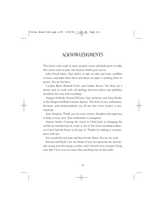### ACKNOWLEDGMENTS

This book is the result of many people's vision and dedication to make that vision come to pass. My deepest thanks goes out to:

John David Mann: Your ability to take an idea and some scribbles of notes, and make them shine and dance on paper is nothing short of genius. You are the best!

Cynthia Black, Richard Cohn, and Lindsay Brown: You three are a dream team to work with; all dealings between author and publisher should be this easy and rewarding!

Margret McBride, Donna DeGutis, Faye Atchison, and Anne Bomke at the Margret McBride Literary Agency: The level of care, enthusiasm, devotion, and professionalism you all put into every project is aweinspiring!

Sean Simpson: Thank you for your creative thoughts and eagerness to help at every turn. Your enthusiasm is contagious!

Murray Smith: Creating the vision at OneCoach of changing the world one entrepreneur at a time is one of the most rewarding endeavors I have had the honor to be part of. Thanks for making it a masterpiece with me!

My wonderful soul mate and best friend, Maria: You are my rock!

Keenan and Noah: I see my dream of you two growing into spectacular young men becoming a reality, and I cherish every moment being your dad. I love you two more than anything else on this earth.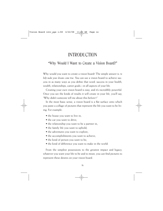### INTRODUCTION

### "Why Would I Want to Create a Vision Board?"

Why would you want to create a vision board? The simple answer is: *to help make your dreams come true*. You can use a vision board to achieve success in as many ways as you define that word: success in your health, wealth, relationships, career goals—in all aspects of your life.

Creating your own vision board is easy, and it's incredibly powerful. Once you see the kinds of results it will create in your life, you'll say, "Why didn't someone tell me about this before?!"

In the most basic sense, a vision board is a flat surface onto which you paste a collage of pictures that represent the life you want to be living. For example:

- the house you want to live in;
- the car you want to drive;
- the relationship you want to be a partner in;
- the family life you want to uphold;
- the adventures you want to explore;
- the accomplishments you want to achieve;
- the kind of person you want to be;
- the kind of difference you want to make in the world.

From the simplest possessions to the greatest impact and legacy, whatever you want your life to be and to mean, you can find pictures to represent these desires on your vision board.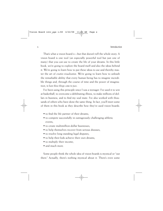x Introduction

That's what a vision board *is*—but that doesn't tell the whole story. A vision board is one tool (an especially powerful tool but just one of many) that you can use to create the life of your dreams. In this little book, we're going to explore the board itself and also the ideas behind it. We're going to learn how to put these ideas to use and thereby master the art of *creative visualization*. We're going to learn how to unleash the remarkable ability that every human being has to imagine incredible things and, through the course of time and the power of imagination, *to have those things come to pass*.

I've been using this principle since I was a teenager. I've used it to win at basketball, to overcome a debilitating illness, to make millions of dollars in business, and to find my soul mate. I've also worked with thousands of others who have done the same thing. In fact, you'll meet some of them in this book as they describe how they've used vision boards:

- to find the life partner of their dreams;
- to compete successfully in outrageously challenging athletic events;
- to create multimillion-dollar businesses;
- to help themselves recover from serious diseases;
- to resolve long-standing legal disputes;
- to help their kids achieve their own dreams;
- to multiply their income,
- and much more.

Some people think the whole idea of vision boards is mystical or "out there." Actually, there's nothing mystical about it. There's even some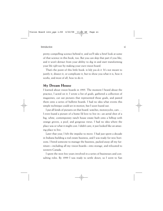pretty compelling science behind it, and we'll take a brief look at some of that science in this book, too. But you can skip that part if you like, and it won't detract from your ability to dig in and start transforming your life *right now* by making your own vision board.

That's the point of this little book: *to help you do it*. It's not meant to justify it, dissect it, or complicate it, but to show you what it is, how it works, and most of all, how to do it.

### **My Dream House**

I learned about vision boards in 1995. The moment I heard about the practice, I acted on it: I wrote a list of goals, gathered a collection of magazines, cut out pictures that represented those goals, and pasted them onto a series of bulletin boards. I had no idea what events this simple technique could set in motion, but I soon found out.

I put all kinds of pictures on that board: watches, motorcycles, cars . . . I even found a picture of a home I'd love to live in—an aerial shot of a big, white, contemporary ranch house estate built onto a hilltop with orange groves, a pool, and gorgeous views. I had no idea where the place was or what it might cost. I didn't care; it just looked like an amazing place to live.

Later that year, I felt the impulse to move. I had just spent a decade in Indiana building a real estate business, and I was ready for new horizons. I hired someone to manage the business, packed away all my furniture—including all my vision boards—into storage, and relocated to western Canada.

I spent the next few years involved in a series of businesses and consulting roles. By 1999 I was ready to settle down, so I went to San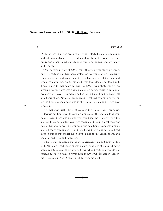Diego, where I'd always dreamed of living. I started real estate hunting, and within months my broker had found us a beautiful home. I had furniture and other boxed stuff shipped out from Indiana, and my family and I moved in.

One morning in May of 2000, I sat with my six-year-old son Keenan, opening cartons that had been sealed for five years, when I suddenly came across my old vision boards. I pulled one out of the box, and when I saw what was on it, I stopped what I was doing and stared at it. There, glued to that board I'd made in 1995, was a photograph of an amazing house: it was that sprawling contemporary estate I'd cut out of my copy of *Dream Homes* magazine back in Indiana. I had forgotten all about this photo. Now, as I examined it, I realized how strikingly similar the house in the photo was to the house Keenan and I were now sitting in.

No, that wasn't right. It wasn't *similar* to this house; it *was* this house.

Because our house was located on a hillside at the end of a long residential road, there was no way you could see the property from the angle in that photo unless you were hanging in the air in a helicopter or hot air balloon. Since I'd never seen our new home from that unique angle, I hadn't recognized it. But there it was: the very same house I had clipped out of that magazine in 1995, glued to my vision board, and then stashed away and forgotten.

When I cut the image out of the magazine, I clipped away all the text. Although I had gazed at that picture hundreds of times, I'd never seen any information about where it was, what it cost, or any of its features. *It was just a picture*. I'd never even known it was located in California—let alone in San Diego—until this very moment.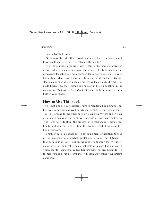I could hardly breathe.

What were the odds that I would end up in that very same house? How would you even begin to calculate those odds?

Even now, nearly a decade later, I can hardly find the words to express what an impact this event had on me. This truly phenomenal experience launched me on a quest to learn everything there was to know about what vision boards are, how they work, and why. Understanding and sharing this amazing process as deeply and as broadly as I could became my most compelling mission in life, culminating in the creation of *The Complete Vision Board Kit<sub>TM</sub>* and the little book you now hold in your hands.

### **How to Use This Book**

This is not a book you necessarily have to read from beginning to end. Feel free to skip around, reading whichever parts beckon to you most. You'll get around to the other parts on your own rhythm and in your own time. There is no *one* "right" way to create a vision board and no *one* "right" way to write about the process, or to read about it, either. Feel free to highlight portions, write in the margins, mark it up; make this book your own.

Think of this as a cookbook; it's not some piece of literature to read in your armchair but a practical guidebook to use in your "kitchen" that is, in your *life*. Lay it out on the counter and get it messy; experiment, have fun, and make things that taste delicious. The purpose of vision boards—sometimes called "treasure maps" or "dream boards"—is to help you cook up a storm that will ultimately make your dreams come true.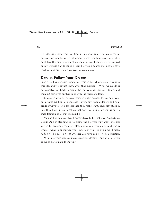Note: One thing you *won't* find in this book is any full-color reproductions or samples of actual vision boards; the limitations of a little book like this simply couldn't do them justice. Instead, we've featured on my website a wide range of real-life vision boards that people have used to transform their own lives: *johnassaraf.com*.

### **Dare to Follow Your Dreams**

Each of us has a certain number of years to get what we really want in this life, and we cannot know what that number is. What we *can* do is put ourselves on track to create the life we most earnestly desire, and then put ourselves on that track with the focus of a laser.

It's easy to dream. It's even easier to make excuses for *not* achieving our dreams. Millions of people do it every day, finding dozens and hundreds of ways to settle for less than they really want. They stay stuck in jobs they hate, in relationships that don't work, in a life that is only a small fraction of all that it could be.

You and I both know that it doesn't have to be that way. *You don't have to settle*. And in stepping up to create the life you truly want, the first step is to become absolutely clear about *what* you want. And this is where I want to encourage you—no, *I dare you*—to think big. I mean *really big*. The question isn't whether you have goals. The real question is: What are your biggest, most audacious dreams—and what are you going to do to make them real?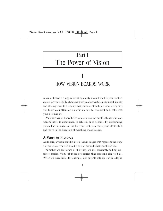### Part I The Power of Vision

### 1 HOW VISION BOARDS WORK

A vision board is a way of creating clarity around the life you want to create for yourself. By choosing a series of powerful, meaningful images and affixing them to a display that you look at multiple times every day, you focus your attention on what matters to you most and make that your destination.

Making a vision board helps you attract into your life things that you want to have, to experience, to achieve, or to become. By surrounding yourself with images of the life you want, you cause your life to shift and move in the direction of matching those images.

### **A Story in Pictures**

At its core, a vision board is a set of visual images that represent the story you are telling yourself about who you are and what your life is like.

Whether we are aware of it or not, we are constantly telling ourselves stories. Many of those are stories that someone else told us. When we were little, for example, our parents told us stories. Maybe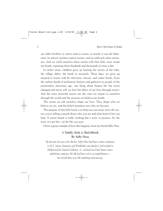our older brothers or sisters read us stories, or maybe it was the babysitter. In school, teachers read us stories, and we told each other stories, too. And we retell ourselves these stories with that little voice inside our heads, repeating them hundreds and thousands of times a day.

In earlier times, children grew up hearing the stories of the tribe, the village elders, the bards or minstrels. These days, we grow up steeped in stories told by television, movies, and comic books. From the earliest bands of prehistoric hunters and gatherers to people of the postmodern electronic age, one thing about human life has never changed and never will: we knit the fabric of our lives through stories. And the most powerful stories are the ones we repeat to ourselves through the words and the pictures we hold in our minds.

The stories we tell ourselves shape our lives. They shape who we believe we are, and this belief translates into who we become.

The purpose of this little book is to help you *consciously choose* the stories you're telling yourself about who you are and what kind of life you lead. A vision board is really nothing but a story in pictures. It's the story of your life—of the life you *want*.

Here's a great example of how this happens, from my friend Sally Huss.

### A Family from a Sketchbook **By Sally Huss**

*By the time she was in her thirties, Sally Huss had been a tennis champion (a U.S. Junior champion and Wimbledon semi-finalist), had worked in Hollywood for Samuel Goldwyn, Jr., and had run Paul Simon's music publishing company. Her life had been rich in accomplishments but she felt there was still something vital missing.*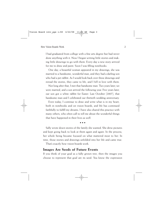I had graduated from college with a fine arts degree but had never done anything with it. Now I began writing little stories and making little drawings to go with them. Every day a new story arrived for me to draw and paint. Soon I was filling notebooks.

One day, a beautiful woman appeared in my drawings; she was married to a handsome, wonderful man, and they had a darling son who had a pet rabbit. As I would look back over these drawings and reread the stories, they came to life, and I fell in love with them.

Not long after that, I met that handsome man. Two years later, we were married, and a son arrived the following year. Five years later, our son got a white rabbit for Easter. Last October [2007], that handsome man and I celebrated our thirtieth wedding anniversary.

Even today, I continue to draw and write what is in my heart, both in notebooks and on vision boards, and life has continued faithfully to fulfill my dreams. I have also shared this practice with many others, who often call to tell me about the wonderful things that have happened in their lives as well.

• • •

Sally wrote down stories of the family she wanted. She drew pictures and kept going back to look at them again and again. In the process, her whole being became focused on what mattered most to her. In time, those stories and drawings unfolded into her life and came true.

That's exactly how vision boards work.

### **Images Are Seeds of Future Events**

If you think of your goal as a fully grown tree, then the images you choose to represent that goal are its seed. You know the expression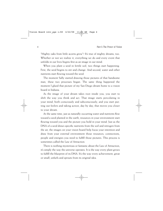"Mighty oaks from little acorns grow"? It's true of mighty dreams, too. Whether or not we realize it, everything we do and every event that unfolds in our lives begins first as an image in our mind.

When you plant a seed in fertile soil, two things start happening. First, the seed begins to stir and change. And second, water and other nutrients start flowing toward the seed.

The moment Sally started drawing those pictures of that handsome man, these two processes began. The same thing happened the moment I glued that picture of my San Diego dream home to a vision board in Indiana.

As the image of your dream takes root inside you, you start to shift the way you think and act. That image starts percolating in your mind, both consciously and subconsciously, and you start putting out feelers and taking action, day by day, that moves you closer to your dream.

At the same time, just as naturally-occurring water and nutrients flow toward a seed planted in the earth, resources in your environment start flowing toward you and the picture you hold in your mind. Just as the DNA of a seed draws specific nutrients from the soil and nitrogen from the air, the images on your vision board help focus your intention and draw from your external environment those resources, connections, people and energies you need to fulfill those pictures. This process is sometimes called the Law of Attraction.

There is nothing mysterious or fantastic about the Law of Attraction; it's simply the way the universe operates. It is the way every plant grows to fulfill the blueprint of its DNA. It's the way every achievement, great or small, unfurls and sprouts from its original idea.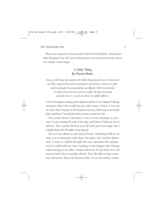Here's an experience from another friend, Patrick Burke, that beautifully illustrates how the Law of Attraction is set in motion by the clarity of a simple visual image.

### A Little Thing **By Patrick Burke**

*It was a little thing, but sometimes the littlest things mean the most. Patrick had just left a corporate job and was starting his own business; money was tight, and providing for his young family was difficult. Still, he yearned for his wife to have that new watch she needed. He knew she would genuinely love it—and he also knew he couldn't afford it.*

I went through a catalog and clipped a photo of an elegant Omega timepiece that I felt would suit my wife's tastes. I knew it was out of reach, but I stayed on the lookout anyway, believing in my heart that somehow I would find that perfect watch for her.

Two weeks before Christmas, I was in town hunting for presents. It was nearing the end of the day, and I knew I had run out of options. The watches I'd seen were all well out of my range. But I couldn't bear the thought of giving up.

Just as I was about to quit and go home, something told me to stop in at a particular retail shop that had a fine jewelry department. I went in, looked through the case, and asked the salesperson if I could hold one item. Looking at this elegant little Omega watch sitting on my palm, I made a decision. It was easily 30 or 40 percent more than I possibly afford—but I decided to buy it anyway and worry about the finances later. It was the perfect watch.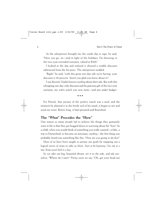As the salesperson brought me the credit slip to sign, he said, "Here you go, sir—and in light of the holidays, I'm throwing in the two-year extended warranty, valued at \$300."

I looked at the slip and realized it showed a sizable discount subtracted from the list price. The salesperson nodded.

"Right," he said, "with this great one-day sale we're having, your discount is 40 percent. Aren't you glad you knew about it?"

I was floored. I hadn't known *anything* about their sale. But with this whopping one-day-only discount and his gracious gift of the two-year warranty, my wife's watch was now mine—and just under budget.

• • •

For Patrick, that picture of the perfect watch was a seed, and the moment he planted it in the fertile soil of his mind, it began to stir and send out roots. Before long, it had sprouted and flourished.

### **The "What" Precedes the "How"**

One reason so many people fail to achieve the things they genuinely want in life is that they get bogged down in worrying about the "how." As a child, when you would think of something you really wanted—a bike, a trip to Disneyland, to become an astronaut, *anything*—the first thing you probably heard was something like this: "How are you going to do *that*?"

Most of us have been taught to pursue our goals by mapping out a logical series of steps to take us there. *Start at the beginning. One step at a time. Rome wasn't built in a day*.

So we take our big, beautiful dream, set it to the side, and ask ourselves, "Where do I start?" Pretty soon we say, "Oh, get your head out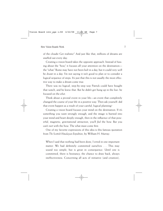of the clouds! Get realistic!" And just like that, millions of dreams are snuffed out every day.

Creating a vision board takes the opposite approach. Instead of fussing about the "how," it focuses all your attention on the destination the "what." Rome may have not been *built* in a day, but it could very well be *dreamt* in a day. I'm not saying it isn't good to plan or to consider a logical sequence of steps. It's just that this is not usually the most effective way to make a dream come true.

There was no logical, step-by-step way Patrick could have bought that watch, and he knew that. But he didn't get hung up in the *how*: he focused on the *what*.

Think about a pivotal event in your life—an event that completely changed the course of your life in a positive way. Then ask yourself: did that event happen as a result of your careful, logical planning?

Creating a vision board focuses your mind on the destination. If it's something you want strongly enough, and the image is burned into your mind and heart deeply enough, then in the influence of that powerful, magnetic, gravitational attraction, you'll *find* the how. But you can't *start* with the how. The what must come first.

One of my favorite expressions of this idea is this famous quotation from *The Scottish Himalayan Expedition*, by William H. Murray:

When I said that nothing had been done, I erred in one important matter. We had definitely committed ourselves . . . This may sound too simple, but is great in consequence. Until one is committed, there is hesitancy, the chance to draw back, always ineffectiveness. Concerning all acts of initiative (and creation),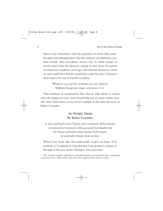there is one elementary truth the ignorance of which kills countless ideas and splendid plans: that the moment one definitely commits oneself, then providence moves, too. A whole stream of events issues from the decision, raising in one's favor all manner of unforeseen incidents, meetings, and material assistance, which no man could have dreamt would have come his way. I learned a deep respect for one of Goethe's couplets:

> Whatever you can do, or dream you can, begin it! Boldness has genius, magic, and power in it.<sup>1</sup>

That boldness of commitment that Murray talks about is exactly what the images on your vision board help you to create within yourself. And I don't know of any better example of this than the story of Ruben Gonzalez.

### An Olympic Dream **By Ruben Gonzalez**

*In 1984, watching the winter Olympic games on television, Ruben Gonzalez sat mesmerized as he witnessed a little guy named Scott Hamilton take the Olympic gold medal in figure skating. In that moment, an unstoppable Olympic dream was born.*

When I saw Scott take that gold medal, it gave me hope. If he could do it, I could do it! I decided that I was going to compete in the luge in the next winter Olympics, four years later.

1. The "Goethe couplet" referred to is actually based on an extremely loose translation of Goethe's *Faust* (1806–1832), lines 214–230, made by John Anster in 1835.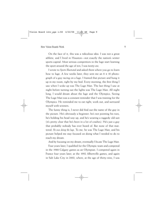On the face of it, this was a ridiculous idea. I was not a great athlete, and I lived in Houston—not exactly the nation's winter sports capital. Most serious competitors in the luge start learning the sport around the age of ten; I was *twenty-one*.

I wrote to *Sports Illustrated* and asked them where you go to learn how to luge. A few weeks later, they sent me an  $8 \times 10$  photograph of a guy racing on a luge. I framed that picture and hung it up in my room, right by my bed. Every morning, the first thing I saw when I woke up was The Luge Man. The last thing I saw at night before turning out the lights was The Luge Man. All night long, I would dream about the luge and the Olympics. Seeing The Luge Man was a constant reminder that I was training for the Olympics. He reminded me to eat right, work out, and surround myself with winners.

The funny thing is, I never did find out the name of the guy in the picture. He's obviously a beginner: he's not pointing his toes, he's holding his head way up, and he's wearing a raggedy old suit (it's pretty clear that he's been in a lot of crashes). He's just a guy that probably nobody has ever heard of. But none of that mattered. *He was doing the luge*. To me, he was The Luge Man, and his picture helped me stay focused on doing what I needed to do to reach my dream.

And by focusing on my dream, eventually I *became* The Luge Man.

Four years later, I qualified for the Olympic team and competed in the 1988 Calgary games as an Olympian. I competed again in France four years later, at the 1992 Albertville games, and again in Salt Lake City in 2002, where, at the age of thirty-nine, I was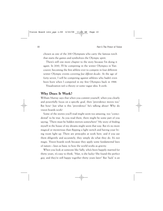chosen as one of the 200 Olympians who carry the famous torch that starts the games and symbolizes the Olympic spirit.

There's still one more chapter to the story because I'm doing it again. In 2010, I'll be competing in the winter Olympics in Vancouver, becoming the first athlete ever to compete in four different winter Olympic events covering *four different decades*. At the age of forty-seven, I will be competing against athletes who hadn't even been born when I competed in my first Olympics back in 1988.

Visualization isn't a theory or some vague idea. It *works*.

### **Why Does It Work?**

William Murray says that when you commit yourself, when you clearly and powerfully focus on a specific goal, then "providence moves too." But how? Just what is this "providence" he's talking about? Why do vision boards work?

Some of the stories you'll read might seem too amazing, too "coincidental" to be true. As you read them, there might be some part of you saying, "There must be hidden mirrors somewhere!" My story of finding myself in the house of my dreams might seem that way. But it's no more magical or mysterious than flipping a light switch and having your living room light up. There are principles at work here, and if you use them diligently and accurately, they simply do what they do. It's not magic. Vision boards work because they apply some fundamental laws of nature—laws as basic to how the world works as gravity.

When you look at someone like Sally, who's been happily married for thirty years, it's easy to think, "Man, is she lucky! She found the perfect guy, and they're still happy together thirty years later!" But "luck" is an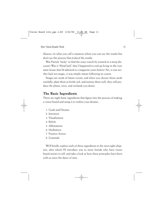illusion; it's what you call a situation where you can see the results but don't see the process that *produced* the results.

Was Patrick "lucky" to find the exact watch he wanted at a steep discount? Was it "blind luck" that I happened to end up living in the very same house that I'd admired in a magazine years before? No, it was neither luck nor magic; it was simply nature following its course.

Images are seeds of future events, and when you choose those seeds carefully, plant them in fertile soil, and nurture them well, they will produce the plants, trees, and orchards you desire.

### **The Basic Ingredients**

There are eight basic ingredients that figure into the process of making a vision board and using it to realize your dreams:

- 1. Goals and Dreams
- 2. Intention
- 3. Visualization
- 4. Beliefs
- 5. Affirmations
- 6. Meditation
- 7. Positive Action
- 8. Gratitude

We'll briefly explore each of these ingredients in the next eight chapters, after which I'll introduce you to more friends who have vision board stories to tell, and take a look at how these principles have been with us since the dawn of time.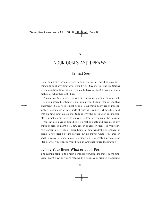### YOUR GOALS AND DREAMS

### The First Step

If you could have absolutely anything in the world, including *doing* anything and *being* anything, what would it be? Say there are no limitations to the question. Imagine that you could have *anything*. Have you got a picture of what that looks like?

*You can have that*. In fact, you can have absolutely whatever you want. Do you notice the thoughts that run in your head in response to that statement? If you're like most people, your mind might react immediately by coming up with all sorts of reasons why this isn't possible. And that limiting inner dialog that tells us why the destination is "impossible" is exactly what keeps so many of us from ever making the journey.

You can use a vision board to help realize goals and dreams of any shape or size. It might be a new career or greater success in your current career, a new car or nicer home, a new wardrobe or change of scene, a new friend or life partner. But no matter what it is, large or small, physical or experiential, the first step is to create a crystal-clear idea of what you want so your brain knows what you're looking for.

### **Telling Your Brain What to Look For**

The human brain is the most complex, powerful machine in the universe. Right now, as you're reading this page, your brain is processing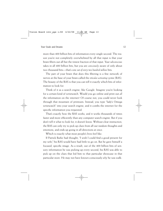more than 400 billion bits of information every single second. The reason you're not completely overwhelmed by all that input is that your brain filters out all but the tiniest fraction of that input. Your *subconscious* takes in all 400 billion bits, but you are *consciously* aware of only about two thousand bits—that's one *out of every two hundred million* bits.

The part of your brain that does this filtering is a fine network of nerves at the base of your brain called the *reticular activating system* (RAS). The beauty of the RAS is that you can tell it exactly which bits of information to look for.

Think of it as a search engine, like Google. Imagine you're looking for a certain kind of wristwatch. Would you go online and print out *all* the information on the internet? Of course not; you could never look through that mountain of printouts. Instead, you type "lady's Omega wristwatch" into your search engine, and it combs the internet for the specific information you requested.

That's exactly how the RAS works, and it works thousands of times faster and more efficiently than any computer search engine. But if you don't tell it what to look for, it doesn't know. Without clear instruction, the RAS can only try to pick up clues from all our random thoughts and emotions, and ends up going in all directions at once.

Which is exactly what most people's lives feel like.

If Patrick Burke had thought, "I wish I could find a good present for my wife," his RAS would have had little to go on. But he gave himself a focused, specific image. As a result, out of the 400 billion bits of sensory information he was picking up every second, his RAS was able to pick up on the clues that led him to that particular showcase in that particular store. He may not have known consciously *why* he was walk